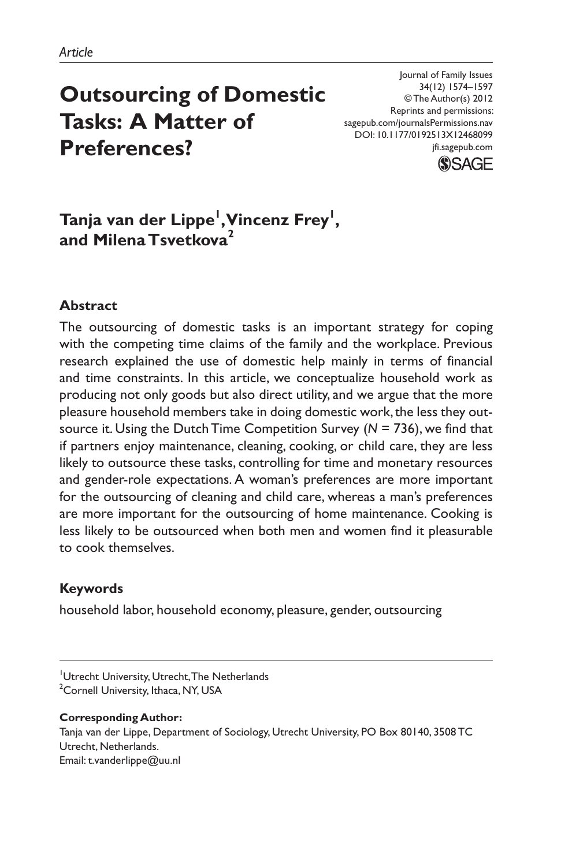# **Outsourcing of Domestic Tasks: A Matter of Preferences?**

Journal of Family Issues 34(12) 1574–1597 © The Author(s) 2012 Reprints and permissions: sagepub.com/journalsPermissions.nav DOI: 10.1177/0192513X12468099 jfi.sagepub.com



## **Tanja van der Lippe1 , Vincenz Frey1 , and Milena Tsvetkova2**

## **Abstract**

The outsourcing of domestic tasks is an important strategy for coping with the competing time claims of the family and the workplace. Previous research explained the use of domestic help mainly in terms of financial and time constraints. In this article, we conceptualize household work as producing not only goods but also direct utility, and we argue that the more pleasure household members take in doing domestic work, the less they outsource it. Using the Dutch Time Competition Survey (*N* = 736), we find that if partners enjoy maintenance, cleaning, cooking, or child care, they are less likely to outsource these tasks, controlling for time and monetary resources and gender-role expectations. A woman's preferences are more important for the outsourcing of cleaning and child care, whereas a man's preferences are more important for the outsourcing of home maintenance. Cooking is less likely to be outsourced when both men and women find it pleasurable to cook themselves.

#### **Keywords**

household labor, household economy, pleasure, gender, outsourcing

#### **Corresponding Author:**

Tanja van der Lippe, Department of Sociology, Utrecht University, PO Box 80140, 3508 TC Utrecht, Netherlands. Email: t.vanderlippe@uu.nl

Utrecht University, Utrecht, The Netherlands

<sup>&</sup>lt;sup>2</sup>Cornell University, Ithaca, NY, USA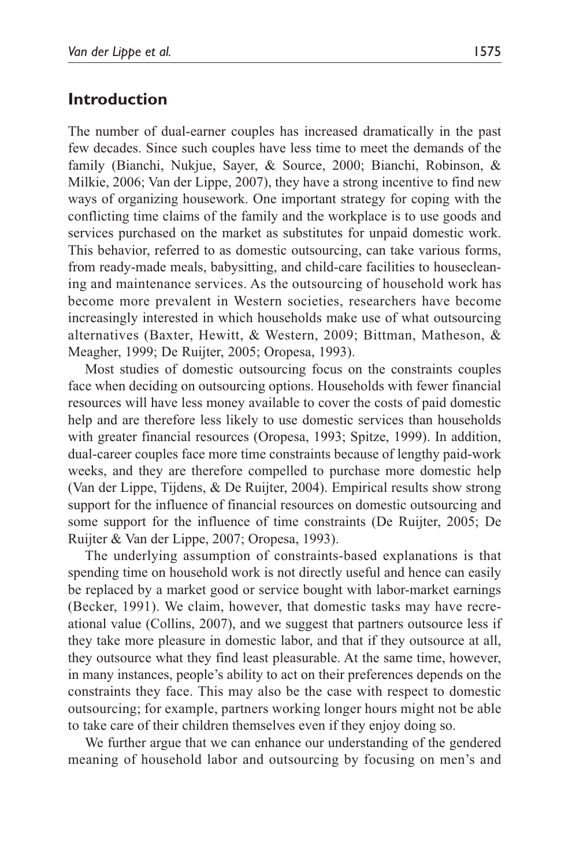## **Introduction**

The number of dual-earner couples has increased dramatically in the past few decades. Since such couples have less time to meet the demands of the family (Bianchi, Nukjue, Sayer, & Source, 2000; Bianchi, Robinson, & Milkie, 2006; Van der Lippe, 2007), they have a strong incentive to find new ways of organizing housework. One important strategy for coping with the conflicting time claims of the family and the workplace is to use goods and services purchased on the market as substitutes for unpaid domestic work. This behavior, referred to as domestic outsourcing, can take various forms, from ready-made meals, babysitting, and child-care facilities to housecleaning and maintenance services. As the outsourcing of household work has become more prevalent in Western societies, researchers have become increasingly interested in which households make use of what outsourcing alternatives (Baxter, Hewitt, & Western, 2009; Bittman, Matheson, & Meagher, 1999; De Ruijter, 2005; Oropesa, 1993).

Most studies of domestic outsourcing focus on the constraints couples face when deciding on outsourcing options. Households with fewer financial resources will have less money available to cover the costs of paid domestic help and are therefore less likely to use domestic services than households with greater financial resources (Oropesa, 1993; Spitze, 1999). In addition, dual-career couples face more time constraints because of lengthy paid-work weeks, and they are therefore compelled to purchase more domestic help (Van der Lippe, Tijdens, & De Ruijter, 2004). Empirical results show strong support for the influence of financial resources on domestic outsourcing and some support for the influence of time constraints (De Ruijter, 2005; De Ruijter & Van der Lippe, 2007; Oropesa, 1993).

The underlying assumption of constraints-based explanations is that spending time on household work is not directly useful and hence can easily be replaced by a market good or service bought with labor-market earnings (Becker, 1991). We claim, however, that domestic tasks may have recreational value (Collins, 2007), and we suggest that partners outsource less if they take more pleasure in domestic labor, and that if they outsource at all, they outsource what they find least pleasurable. At the same time, however, in many instances, people's ability to act on their preferences depends on the constraints they face. This may also be the case with respect to domestic outsourcing; for example, partners working longer hours might not be able to take care of their children themselves even if they enjoy doing so.

We further argue that we can enhance our understanding of the gendered meaning of household labor and outsourcing by focusing on men's and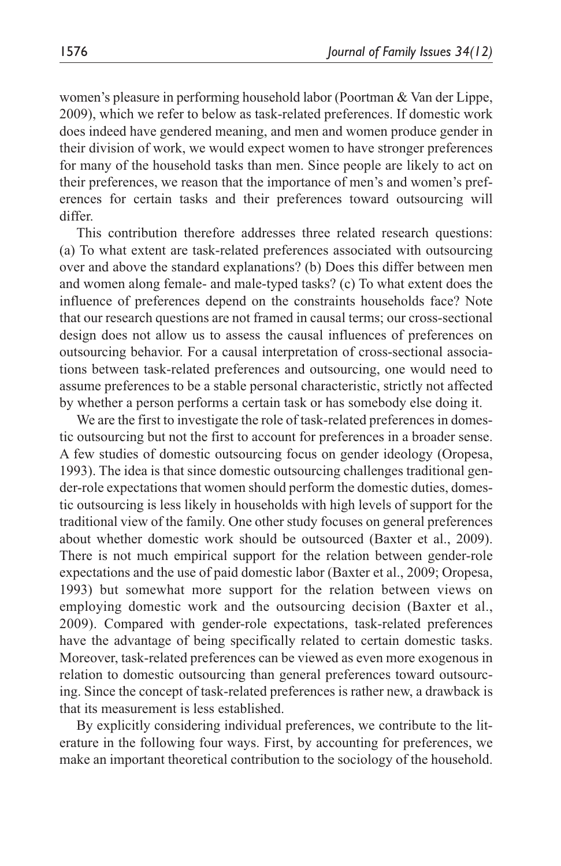women's pleasure in performing household labor (Poortman & Van der Lippe, 2009), which we refer to below as task-related preferences. If domestic work does indeed have gendered meaning, and men and women produce gender in their division of work, we would expect women to have stronger preferences for many of the household tasks than men. Since people are likely to act on their preferences, we reason that the importance of men's and women's preferences for certain tasks and their preferences toward outsourcing will differ.

This contribution therefore addresses three related research questions: (a) To what extent are task-related preferences associated with outsourcing over and above the standard explanations? (b) Does this differ between men and women along female- and male-typed tasks? (c) To what extent does the influence of preferences depend on the constraints households face? Note that our research questions are not framed in causal terms; our cross-sectional design does not allow us to assess the causal influences of preferences on outsourcing behavior. For a causal interpretation of cross-sectional associations between task-related preferences and outsourcing, one would need to assume preferences to be a stable personal characteristic, strictly not affected by whether a person performs a certain task or has somebody else doing it.

We are the first to investigate the role of task-related preferences in domestic outsourcing but not the first to account for preferences in a broader sense. A few studies of domestic outsourcing focus on gender ideology (Oropesa, 1993). The idea is that since domestic outsourcing challenges traditional gender-role expectations that women should perform the domestic duties, domestic outsourcing is less likely in households with high levels of support for the traditional view of the family. One other study focuses on general preferences about whether domestic work should be outsourced (Baxter et al., 2009). There is not much empirical support for the relation between gender-role expectations and the use of paid domestic labor (Baxter et al., 2009; Oropesa, 1993) but somewhat more support for the relation between views on employing domestic work and the outsourcing decision (Baxter et al., 2009). Compared with gender-role expectations, task-related preferences have the advantage of being specifically related to certain domestic tasks. Moreover, task-related preferences can be viewed as even more exogenous in relation to domestic outsourcing than general preferences toward outsourcing. Since the concept of task-related preferences is rather new, a drawback is that its measurement is less established.

By explicitly considering individual preferences, we contribute to the literature in the following four ways. First, by accounting for preferences, we make an important theoretical contribution to the sociology of the household.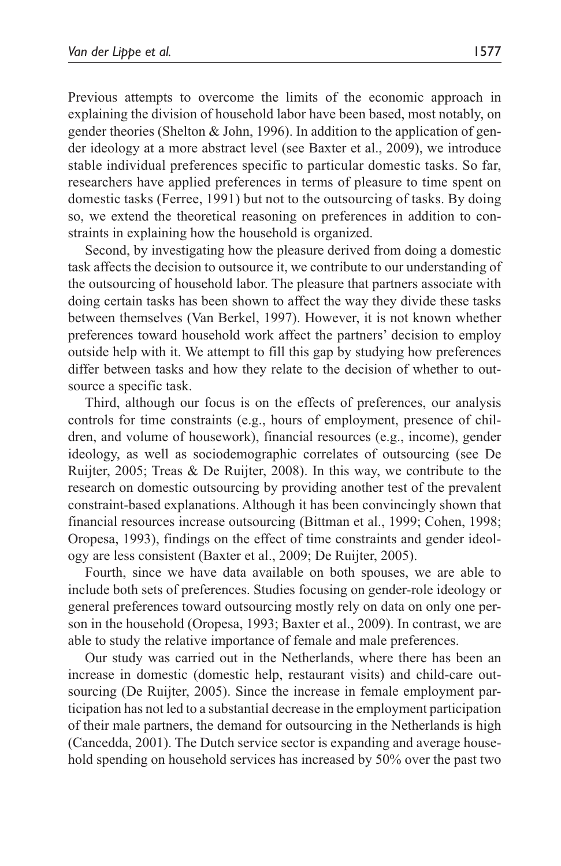Previous attempts to overcome the limits of the economic approach in explaining the division of household labor have been based, most notably, on gender theories (Shelton & John, 1996). In addition to the application of gender ideology at a more abstract level (see Baxter et al., 2009), we introduce stable individual preferences specific to particular domestic tasks. So far, researchers have applied preferences in terms of pleasure to time spent on domestic tasks (Ferree, 1991) but not to the outsourcing of tasks. By doing so, we extend the theoretical reasoning on preferences in addition to constraints in explaining how the household is organized.

Second, by investigating how the pleasure derived from doing a domestic task affects the decision to outsource it, we contribute to our understanding of the outsourcing of household labor. The pleasure that partners associate with doing certain tasks has been shown to affect the way they divide these tasks between themselves (Van Berkel, 1997). However, it is not known whether preferences toward household work affect the partners' decision to employ outside help with it. We attempt to fill this gap by studying how preferences differ between tasks and how they relate to the decision of whether to outsource a specific task.

Third, although our focus is on the effects of preferences, our analysis controls for time constraints (e.g., hours of employment, presence of children, and volume of housework), financial resources (e.g., income), gender ideology, as well as sociodemographic correlates of outsourcing (see De Ruijter, 2005; Treas & De Ruijter, 2008). In this way, we contribute to the research on domestic outsourcing by providing another test of the prevalent constraint-based explanations. Although it has been convincingly shown that financial resources increase outsourcing (Bittman et al., 1999; Cohen, 1998; Oropesa, 1993), findings on the effect of time constraints and gender ideology are less consistent (Baxter et al., 2009; De Ruijter, 2005).

Fourth, since we have data available on both spouses, we are able to include both sets of preferences. Studies focusing on gender-role ideology or general preferences toward outsourcing mostly rely on data on only one person in the household (Oropesa, 1993; Baxter et al., 2009). In contrast, we are able to study the relative importance of female and male preferences.

Our study was carried out in the Netherlands, where there has been an increase in domestic (domestic help, restaurant visits) and child-care outsourcing (De Ruijter, 2005). Since the increase in female employment participation has not led to a substantial decrease in the employment participation of their male partners, the demand for outsourcing in the Netherlands is high (Cancedda, 2001). The Dutch service sector is expanding and average household spending on household services has increased by 50% over the past two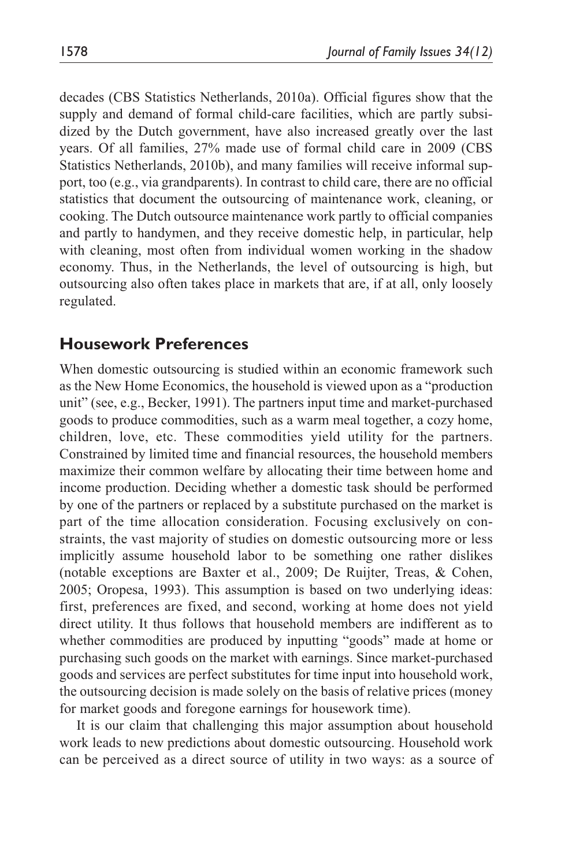decades (CBS Statistics Netherlands, 2010a). Official figures show that the supply and demand of formal child-care facilities, which are partly subsidized by the Dutch government, have also increased greatly over the last years. Of all families, 27% made use of formal child care in 2009 (CBS Statistics Netherlands, 2010b), and many families will receive informal support, too (e.g., via grandparents). In contrast to child care, there are no official statistics that document the outsourcing of maintenance work, cleaning, or cooking. The Dutch outsource maintenance work partly to official companies and partly to handymen, and they receive domestic help, in particular, help with cleaning, most often from individual women working in the shadow economy. Thus, in the Netherlands, the level of outsourcing is high, but outsourcing also often takes place in markets that are, if at all, only loosely regulated.

## **Housework Preferences**

When domestic outsourcing is studied within an economic framework such as the New Home Economics, the household is viewed upon as a "production unit" (see, e.g., Becker, 1991). The partners input time and market-purchased goods to produce commodities, such as a warm meal together, a cozy home, children, love, etc. These commodities yield utility for the partners. Constrained by limited time and financial resources, the household members maximize their common welfare by allocating their time between home and income production. Deciding whether a domestic task should be performed by one of the partners or replaced by a substitute purchased on the market is part of the time allocation consideration. Focusing exclusively on constraints, the vast majority of studies on domestic outsourcing more or less implicitly assume household labor to be something one rather dislikes (notable exceptions are Baxter et al., 2009; De Ruijter, Treas, & Cohen, 2005; Oropesa, 1993). This assumption is based on two underlying ideas: first, preferences are fixed, and second, working at home does not yield direct utility. It thus follows that household members are indifferent as to whether commodities are produced by inputting "goods" made at home or purchasing such goods on the market with earnings. Since market-purchased goods and services are perfect substitutes for time input into household work, the outsourcing decision is made solely on the basis of relative prices (money for market goods and foregone earnings for housework time).

It is our claim that challenging this major assumption about household work leads to new predictions about domestic outsourcing. Household work can be perceived as a direct source of utility in two ways: as a source of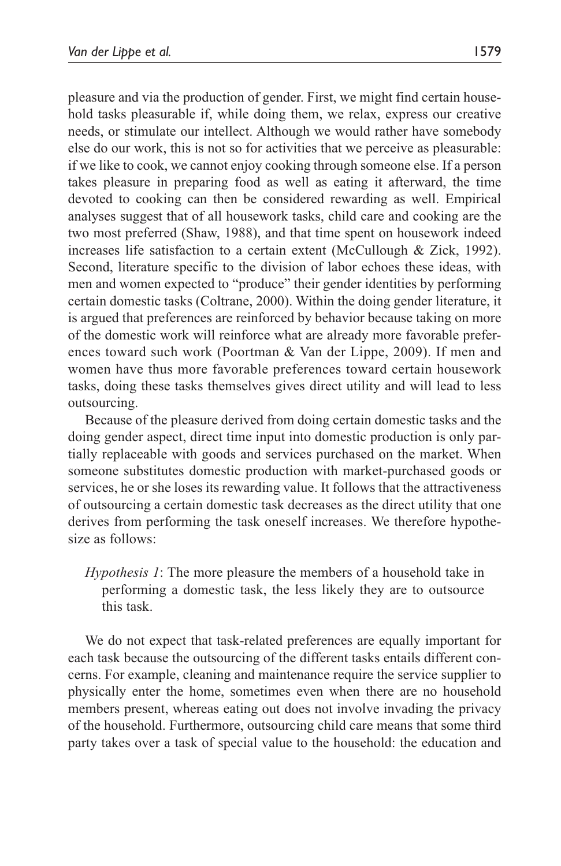pleasure and via the production of gender. First, we might find certain household tasks pleasurable if, while doing them, we relax, express our creative needs, or stimulate our intellect. Although we would rather have somebody else do our work, this is not so for activities that we perceive as pleasurable: if we like to cook, we cannot enjoy cooking through someone else. If a person takes pleasure in preparing food as well as eating it afterward, the time devoted to cooking can then be considered rewarding as well. Empirical analyses suggest that of all housework tasks, child care and cooking are the two most preferred (Shaw, 1988), and that time spent on housework indeed increases life satisfaction to a certain extent (McCullough & Zick, 1992). Second, literature specific to the division of labor echoes these ideas, with men and women expected to "produce" their gender identities by performing certain domestic tasks (Coltrane, 2000). Within the doing gender literature, it is argued that preferences are reinforced by behavior because taking on more of the domestic work will reinforce what are already more favorable preferences toward such work (Poortman & Van der Lippe, 2009). If men and women have thus more favorable preferences toward certain housework tasks, doing these tasks themselves gives direct utility and will lead to less outsourcing.

Because of the pleasure derived from doing certain domestic tasks and the doing gender aspect, direct time input into domestic production is only partially replaceable with goods and services purchased on the market. When someone substitutes domestic production with market-purchased goods or services, he or she loses its rewarding value. It follows that the attractiveness of outsourcing a certain domestic task decreases as the direct utility that one derives from performing the task oneself increases. We therefore hypothesize as follows:

*Hypothesis 1*: The more pleasure the members of a household take in performing a domestic task, the less likely they are to outsource this task.

We do not expect that task-related preferences are equally important for each task because the outsourcing of the different tasks entails different concerns. For example, cleaning and maintenance require the service supplier to physically enter the home, sometimes even when there are no household members present, whereas eating out does not involve invading the privacy of the household. Furthermore, outsourcing child care means that some third party takes over a task of special value to the household: the education and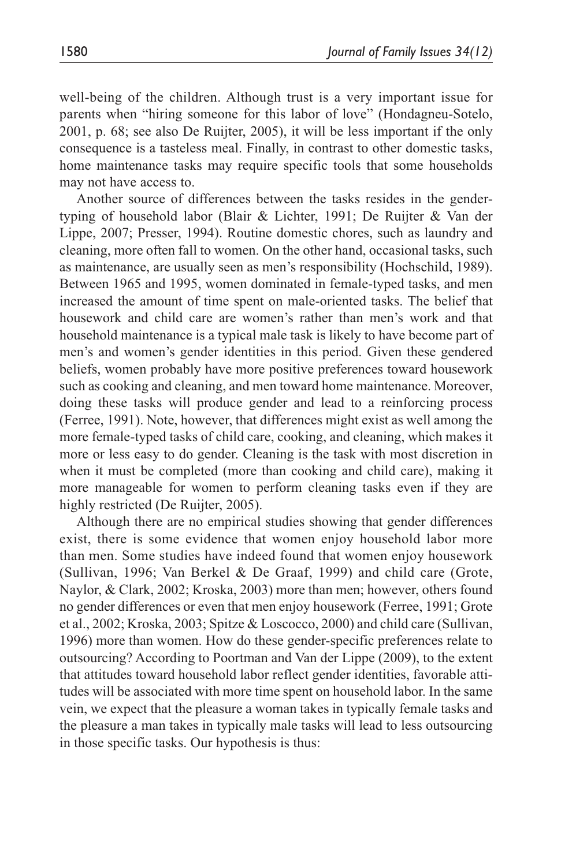well-being of the children. Although trust is a very important issue for parents when "hiring someone for this labor of love" (Hondagneu-Sotelo, 2001, p. 68; see also De Ruijter, 2005), it will be less important if the only consequence is a tasteless meal. Finally, in contrast to other domestic tasks, home maintenance tasks may require specific tools that some households may not have access to.

Another source of differences between the tasks resides in the gendertyping of household labor (Blair & Lichter, 1991; De Ruijter & Van der Lippe, 2007; Presser, 1994). Routine domestic chores, such as laundry and cleaning, more often fall to women. On the other hand, occasional tasks, such as maintenance, are usually seen as men's responsibility (Hochschild, 1989). Between 1965 and 1995, women dominated in female-typed tasks, and men increased the amount of time spent on male-oriented tasks. The belief that housework and child care are women's rather than men's work and that household maintenance is a typical male task is likely to have become part of men's and women's gender identities in this period. Given these gendered beliefs, women probably have more positive preferences toward housework such as cooking and cleaning, and men toward home maintenance. Moreover, doing these tasks will produce gender and lead to a reinforcing process (Ferree, 1991). Note, however, that differences might exist as well among the more female-typed tasks of child care, cooking, and cleaning, which makes it more or less easy to do gender. Cleaning is the task with most discretion in when it must be completed (more than cooking and child care), making it more manageable for women to perform cleaning tasks even if they are highly restricted (De Ruijter, 2005).

Although there are no empirical studies showing that gender differences exist, there is some evidence that women enjoy household labor more than men. Some studies have indeed found that women enjoy housework (Sullivan, 1996; Van Berkel & De Graaf, 1999) and child care (Grote, Naylor, & Clark, 2002; Kroska, 2003) more than men; however, others found no gender differences or even that men enjoy housework (Ferree, 1991; Grote et al., 2002; Kroska, 2003; Spitze & Loscocco, 2000) and child care (Sullivan, 1996) more than women. How do these gender-specific preferences relate to outsourcing? According to Poortman and Van der Lippe (2009), to the extent that attitudes toward household labor reflect gender identities, favorable attitudes will be associated with more time spent on household labor. In the same vein, we expect that the pleasure a woman takes in typically female tasks and the pleasure a man takes in typically male tasks will lead to less outsourcing in those specific tasks. Our hypothesis is thus: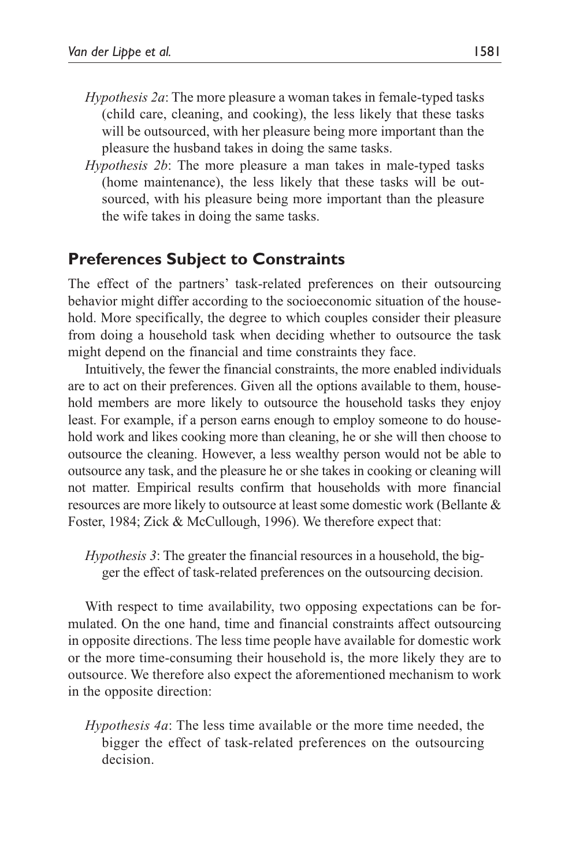- *Hypothesis 2a*: The more pleasure a woman takes in female-typed tasks (child care, cleaning, and cooking), the less likely that these tasks will be outsourced, with her pleasure being more important than the pleasure the husband takes in doing the same tasks.
- *Hypothesis 2b*: The more pleasure a man takes in male-typed tasks (home maintenance), the less likely that these tasks will be outsourced, with his pleasure being more important than the pleasure the wife takes in doing the same tasks.

## **Preferences Subject to Constraints**

The effect of the partners' task-related preferences on their outsourcing behavior might differ according to the socioeconomic situation of the household. More specifically, the degree to which couples consider their pleasure from doing a household task when deciding whether to outsource the task might depend on the financial and time constraints they face.

Intuitively, the fewer the financial constraints, the more enabled individuals are to act on their preferences. Given all the options available to them, household members are more likely to outsource the household tasks they enjoy least. For example, if a person earns enough to employ someone to do household work and likes cooking more than cleaning, he or she will then choose to outsource the cleaning. However, a less wealthy person would not be able to outsource any task, and the pleasure he or she takes in cooking or cleaning will not matter. Empirical results confirm that households with more financial resources are more likely to outsource at least some domestic work (Bellante & Foster, 1984; Zick & McCullough, 1996). We therefore expect that:

*Hypothesis 3*: The greater the financial resources in a household, the bigger the effect of task-related preferences on the outsourcing decision.

With respect to time availability, two opposing expectations can be formulated. On the one hand, time and financial constraints affect outsourcing in opposite directions. The less time people have available for domestic work or the more time-consuming their household is, the more likely they are to outsource. We therefore also expect the aforementioned mechanism to work in the opposite direction:

*Hypothesis 4a*: The less time available or the more time needed, the bigger the effect of task-related preferences on the outsourcing decision.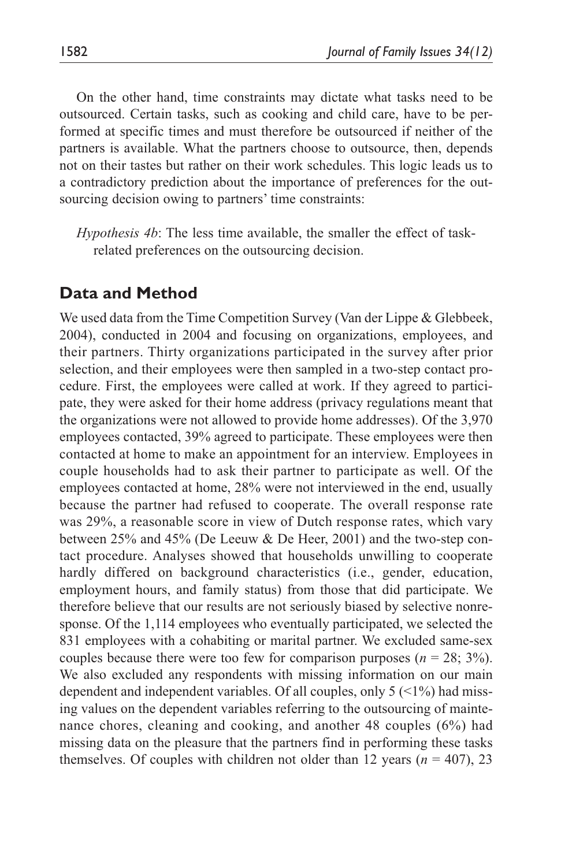On the other hand, time constraints may dictate what tasks need to be outsourced. Certain tasks, such as cooking and child care, have to be performed at specific times and must therefore be outsourced if neither of the partners is available. What the partners choose to outsource, then, depends not on their tastes but rather on their work schedules. This logic leads us to a contradictory prediction about the importance of preferences for the outsourcing decision owing to partners' time constraints:

*Hypothesis 4b*: The less time available, the smaller the effect of taskrelated preferences on the outsourcing decision.

## **Data and Method**

We used data from the Time Competition Survey (Van der Lippe & Glebbeek, 2004), conducted in 2004 and focusing on organizations, employees, and their partners. Thirty organizations participated in the survey after prior selection, and their employees were then sampled in a two-step contact procedure. First, the employees were called at work. If they agreed to participate, they were asked for their home address (privacy regulations meant that the organizations were not allowed to provide home addresses). Of the 3,970 employees contacted, 39% agreed to participate. These employees were then contacted at home to make an appointment for an interview. Employees in couple households had to ask their partner to participate as well. Of the employees contacted at home, 28% were not interviewed in the end, usually because the partner had refused to cooperate. The overall response rate was 29%, a reasonable score in view of Dutch response rates, which vary between 25% and 45% (De Leeuw & De Heer, 2001) and the two-step contact procedure. Analyses showed that households unwilling to cooperate hardly differed on background characteristics (i.e., gender, education, employment hours, and family status) from those that did participate. We therefore believe that our results are not seriously biased by selective nonresponse. Of the 1,114 employees who eventually participated, we selected the 831 employees with a cohabiting or marital partner. We excluded same-sex couples because there were too few for comparison purposes  $(n = 28, 3\%)$ . We also excluded any respondents with missing information on our main dependent and independent variables. Of all couples, only  $5 \leq 1\%$  had missing values on the dependent variables referring to the outsourcing of maintenance chores, cleaning and cooking, and another 48 couples (6%) had missing data on the pleasure that the partners find in performing these tasks themselves. Of couples with children not older than 12 years  $(n = 407)$ , 23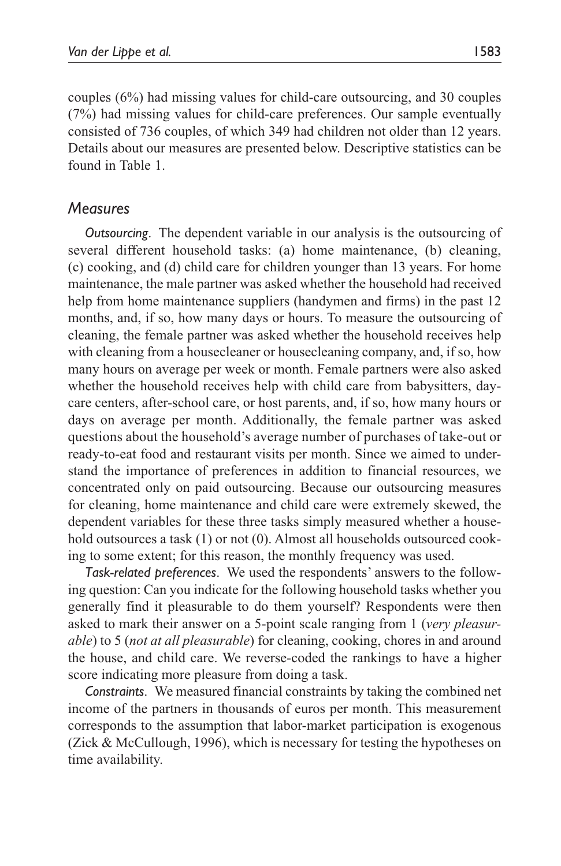couples (6%) had missing values for child-care outsourcing, and 30 couples (7%) had missing values for child-care preferences. Our sample eventually consisted of 736 couples, of which 349 had children not older than 12 years. Details about our measures are presented below. Descriptive statistics can be found in Table 1.

#### *Measures*

*Outsourcing*. The dependent variable in our analysis is the outsourcing of several different household tasks: (a) home maintenance, (b) cleaning, (c) cooking, and (d) child care for children younger than 13 years. For home maintenance, the male partner was asked whether the household had received help from home maintenance suppliers (handymen and firms) in the past 12 months, and, if so, how many days or hours. To measure the outsourcing of cleaning, the female partner was asked whether the household receives help with cleaning from a housecleaner or housecleaning company, and, if so, how many hours on average per week or month. Female partners were also asked whether the household receives help with child care from babysitters, daycare centers, after-school care, or host parents, and, if so, how many hours or days on average per month. Additionally, the female partner was asked questions about the household's average number of purchases of take-out or ready-to-eat food and restaurant visits per month. Since we aimed to understand the importance of preferences in addition to financial resources, we concentrated only on paid outsourcing. Because our outsourcing measures for cleaning, home maintenance and child care were extremely skewed, the dependent variables for these three tasks simply measured whether a household outsources a task (1) or not (0). Almost all households outsourced cooking to some extent; for this reason, the monthly frequency was used.

*Task-related preferences*. We used the respondents' answers to the following question: Can you indicate for the following household tasks whether you generally find it pleasurable to do them yourself? Respondents were then asked to mark their answer on a 5-point scale ranging from 1 (*very pleasurable*) to 5 (*not at all pleasurable*) for cleaning, cooking, chores in and around the house, and child care. We reverse-coded the rankings to have a higher score indicating more pleasure from doing a task.

*Constraints*. We measured financial constraints by taking the combined net income of the partners in thousands of euros per month. This measurement corresponds to the assumption that labor-market participation is exogenous (Zick & McCullough, 1996), which is necessary for testing the hypotheses on time availability.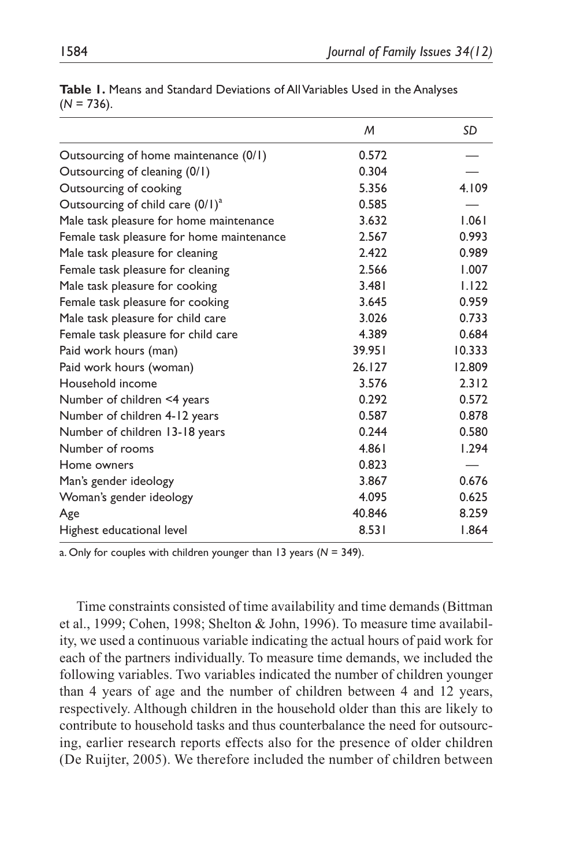|                                           | M      | SD     |
|-------------------------------------------|--------|--------|
| Outsourcing of home maintenance (0/1)     | 0.572  |        |
| Outsourcing of cleaning (0/1)             | 0.304  |        |
| Outsourcing of cooking                    | 5.356  | 4.109  |
| Outsourcing of child care $(0/1)^{a}$     | 0.585  |        |
| Male task pleasure for home maintenance   | 3.632  | 1.061  |
| Female task pleasure for home maintenance | 2.567  | 0.993  |
| Male task pleasure for cleaning           | 2.422  | 0.989  |
| Female task pleasure for cleaning         | 2.566  | 1.007  |
| Male task pleasure for cooking            | 3.481  | 1.122  |
| Female task pleasure for cooking          | 3.645  | 0.959  |
| Male task pleasure for child care         | 3.026  | 0.733  |
| Female task pleasure for child care       | 4.389  | 0.684  |
| Paid work hours (man)                     | 39.951 | 10.333 |
| Paid work hours (woman)                   | 26.127 | 12.809 |
| Household income                          | 3.576  | 2.312  |
| Number of children <4 years               | 0.292  | 0.572  |
| Number of children 4-12 years             | 0.587  | 0.878  |
| Number of children 13-18 years            | 0.244  | 0.580  |
| Number of rooms                           | 4.861  | 1.294  |
| Home owners                               | 0.823  |        |
| Man's gender ideology                     | 3.867  | 0.676  |
| Woman's gender ideology                   | 4.095  | 0.625  |
| Age                                       | 40.846 | 8.259  |
| Highest educational level                 | 8.531  | 1.864  |

**Table 1.** Means and Standard Deviations of All Variables Used in the Analyses  $(N = 736)$ .

a. Only for couples with children younger than 13 years (*N* = 349).

Time constraints consisted of time availability and time demands (Bittman et al., 1999; Cohen, 1998; Shelton & John, 1996). To measure time availability, we used a continuous variable indicating the actual hours of paid work for each of the partners individually. To measure time demands, we included the following variables. Two variables indicated the number of children younger than 4 years of age and the number of children between 4 and 12 years, respectively. Although children in the household older than this are likely to contribute to household tasks and thus counterbalance the need for outsourcing, earlier research reports effects also for the presence of older children (De Ruijter, 2005). We therefore included the number of children between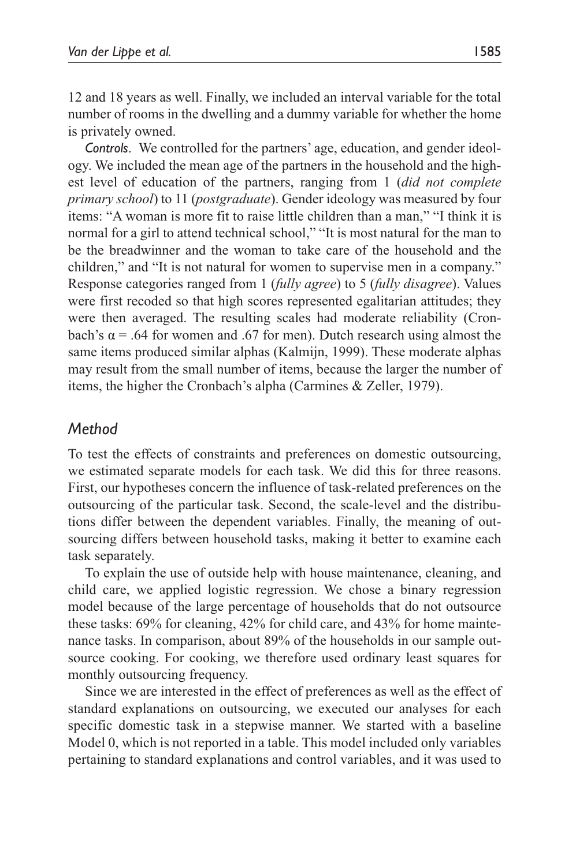12 and 18 years as well. Finally, we included an interval variable for the total number of rooms in the dwelling and a dummy variable for whether the home is privately owned.

*Controls*. We controlled for the partners' age, education, and gender ideology. We included the mean age of the partners in the household and the highest level of education of the partners, ranging from 1 (*did not complete primary school*) to 11 (*postgraduate*). Gender ideology was measured by four items: "A woman is more fit to raise little children than a man," "I think it is normal for a girl to attend technical school," "It is most natural for the man to be the breadwinner and the woman to take care of the household and the children," and "It is not natural for women to supervise men in a company." Response categories ranged from 1 (*fully agree*) to 5 (*fully disagree*). Values were first recoded so that high scores represented egalitarian attitudes; they were then averaged. The resulting scales had moderate reliability (Cronbach's  $\alpha$  = .64 for women and .67 for men). Dutch research using almost the same items produced similar alphas (Kalmijn, 1999). These moderate alphas may result from the small number of items, because the larger the number of items, the higher the Cronbach's alpha (Carmines & Zeller, 1979).

## *Method*

To test the effects of constraints and preferences on domestic outsourcing, we estimated separate models for each task. We did this for three reasons. First, our hypotheses concern the influence of task-related preferences on the outsourcing of the particular task. Second, the scale-level and the distributions differ between the dependent variables. Finally, the meaning of outsourcing differs between household tasks, making it better to examine each task separately.

To explain the use of outside help with house maintenance, cleaning, and child care, we applied logistic regression. We chose a binary regression model because of the large percentage of households that do not outsource these tasks: 69% for cleaning, 42% for child care, and 43% for home maintenance tasks. In comparison, about 89% of the households in our sample outsource cooking. For cooking, we therefore used ordinary least squares for monthly outsourcing frequency.

Since we are interested in the effect of preferences as well as the effect of standard explanations on outsourcing, we executed our analyses for each specific domestic task in a stepwise manner. We started with a baseline Model 0, which is not reported in a table. This model included only variables pertaining to standard explanations and control variables, and it was used to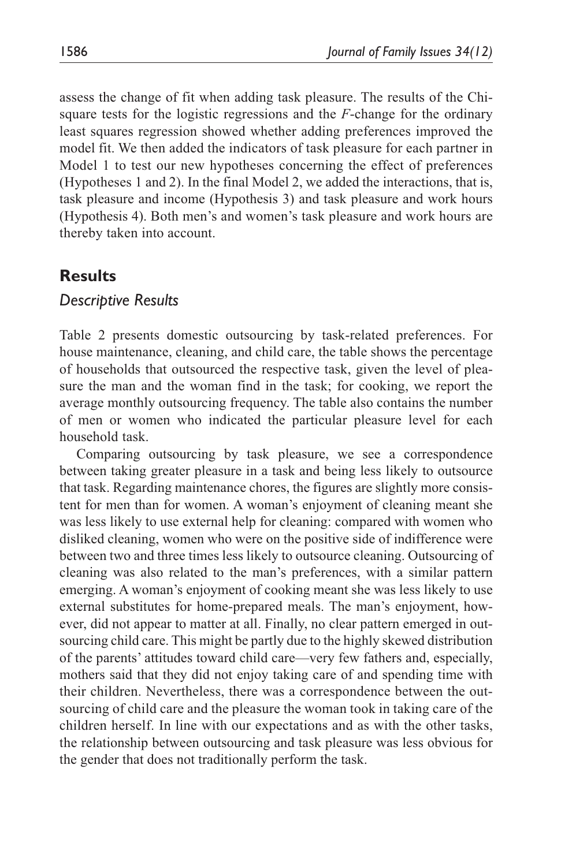assess the change of fit when adding task pleasure. The results of the Chisquare tests for the logistic regressions and the *F*-change for the ordinary least squares regression showed whether adding preferences improved the model fit. We then added the indicators of task pleasure for each partner in Model 1 to test our new hypotheses concerning the effect of preferences (Hypotheses 1 and 2). In the final Model 2, we added the interactions, that is, task pleasure and income (Hypothesis 3) and task pleasure and work hours (Hypothesis 4). Both men's and women's task pleasure and work hours are thereby taken into account.

## **Results**

#### *Descriptive Results*

Table 2 presents domestic outsourcing by task-related preferences. For house maintenance, cleaning, and child care, the table shows the percentage of households that outsourced the respective task, given the level of pleasure the man and the woman find in the task; for cooking, we report the average monthly outsourcing frequency. The table also contains the number of men or women who indicated the particular pleasure level for each household task.

Comparing outsourcing by task pleasure, we see a correspondence between taking greater pleasure in a task and being less likely to outsource that task. Regarding maintenance chores, the figures are slightly more consistent for men than for women. A woman's enjoyment of cleaning meant she was less likely to use external help for cleaning: compared with women who disliked cleaning, women who were on the positive side of indifference were between two and three times less likely to outsource cleaning. Outsourcing of cleaning was also related to the man's preferences, with a similar pattern emerging. A woman's enjoyment of cooking meant she was less likely to use external substitutes for home-prepared meals. The man's enjoyment, however, did not appear to matter at all. Finally, no clear pattern emerged in outsourcing child care. This might be partly due to the highly skewed distribution of the parents' attitudes toward child care—very few fathers and, especially, mothers said that they did not enjoy taking care of and spending time with their children. Nevertheless, there was a correspondence between the outsourcing of child care and the pleasure the woman took in taking care of the children herself. In line with our expectations and as with the other tasks, the relationship between outsourcing and task pleasure was less obvious for the gender that does not traditionally perform the task.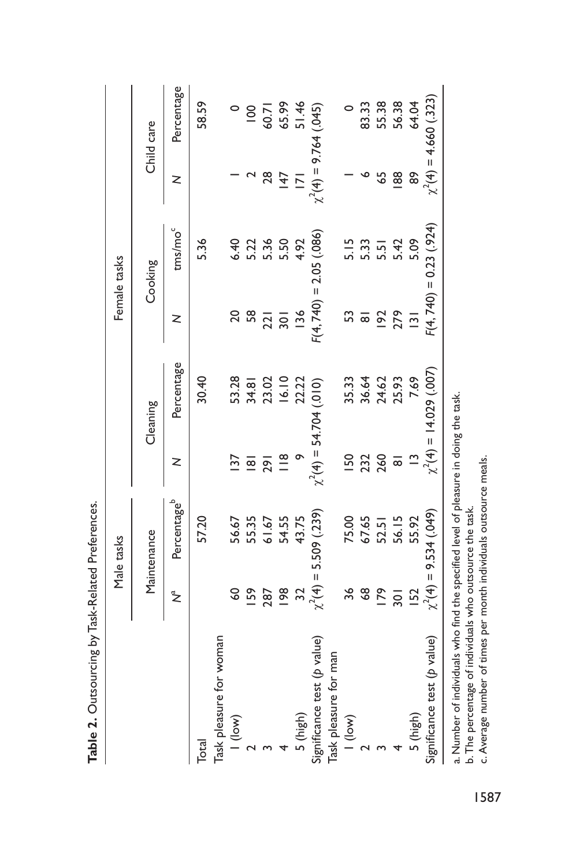|                                                                                      |                | Male tasks                 |                     |                             |                     | Female tasks              |                 |                           |
|--------------------------------------------------------------------------------------|----------------|----------------------------|---------------------|-----------------------------|---------------------|---------------------------|-----------------|---------------------------|
|                                                                                      |                | Maintenance                |                     | Cleaning                    |                     | Cooking                   |                 | Child care                |
|                                                                                      | Ž              | Percentage <sup>b</sup>    | z                   | Percentage                  | z                   | tms/mo <sup>c</sup>       | z               | Percentage                |
| Total                                                                                |                | 57.20                      |                     | 30.40                       |                     | 5.36                      |                 | 58.59                     |
| Task pleasure for woman                                                              |                |                            |                     |                             |                     |                           |                 |                           |
| $1$ (low)                                                                            | 9              | 56.67                      | <b>137</b>          | 53.28                       | 20                  | 6.40                      |                 |                           |
|                                                                                      | 159            | 55.35                      | $\frac{1}{\infty}$  | 34.81                       | 58                  |                           |                 | $\frac{8}{1}$             |
|                                                                                      | 287            | 61.67                      | 291                 | 23.02                       | 221                 | 5.22<br>5.36              | 28              | 60.71                     |
|                                                                                      | 198            | 54.55                      | $\frac{8}{1}$       | 16.10                       | $\overline{30}$     | 5.50                      | $\overline{47}$ | 65.99                     |
| 5 (high)                                                                             | 32             | 43.75                      | $\circ$             | 22.22                       | 136                 | 4.92                      | $\overline{2}$  | 51.46                     |
| Significance test (p value)                                                          |                | $\chi^2(4) = 5.509(0.239)$ |                     | $\chi^2(4) = 54.704$ (.010) |                     | $F(4, 740) = 2.05$ (.086) |                 | $\chi^2(4) = 9.764(.045)$ |
| Task pleasure for man                                                                |                |                            |                     |                             |                     |                           |                 |                           |
| (low)                                                                                | 36             |                            | <b>ISO</b>          |                             |                     |                           |                 |                           |
|                                                                                      | $\frac{8}{3}$  | 75.00<br>67.65             | 232                 | 35.33<br>36.64              | $\overline{\infty}$ |                           |                 | 83.33                     |
|                                                                                      | <b>PZ1</b>     | 52.51                      | 260                 | 24.62                       | $\overline{6}$      | 5.33<br>5.3542            | 59              | 55.38                     |
|                                                                                      | $\overline{5}$ | 56.15                      | $\overline{\infty}$ | 25.93                       | 279                 |                           | 188             | 56.38                     |
| 5 (high)                                                                             | <b>IS2</b>     | 55.92                      | $\tilde{ }$         | 7.69                        | $\overline{3}$      | 5.09                      | 8               | 64.04                     |
| Significance test (p value)                                                          |                | $\chi^2(4) = 9.534(049)$   |                     | $\chi^2(4) = 14.029$ (.007) |                     | $F(4, 740) = 0.23$ (.924) |                 | $\chi^2(4) = 4.660(323)$  |
| a. Number of individuals who find the specified level of pleasure in doing the task. |                |                            |                     |                             |                     |                           |                 |                           |

Table 7. Outsourcing by Task-Related Preferences **Table 2.** Outsourcing by Task-Related Preferences.

1587

b. The percentage of individuals who outsource the task.

b. The percentage of individuals who outsource the task.

c. Average number of times per month individuals outsource meals.

c. Average number of times per month individuals outsource meals.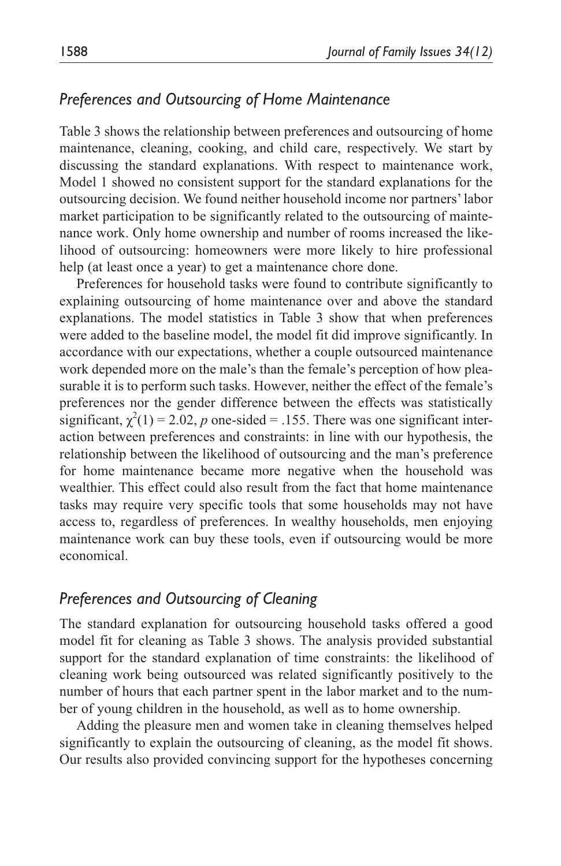#### *Preferences and Outsourcing of Home Maintenance*

Table 3 shows the relationship between preferences and outsourcing of home maintenance, cleaning, cooking, and child care, respectively. We start by discussing the standard explanations. With respect to maintenance work, Model 1 showed no consistent support for the standard explanations for the outsourcing decision. We found neither household income nor partners' labor market participation to be significantly related to the outsourcing of maintenance work. Only home ownership and number of rooms increased the likelihood of outsourcing: homeowners were more likely to hire professional help (at least once a year) to get a maintenance chore done.

Preferences for household tasks were found to contribute significantly to explaining outsourcing of home maintenance over and above the standard explanations. The model statistics in Table 3 show that when preferences were added to the baseline model, the model fit did improve significantly. In accordance with our expectations, whether a couple outsourced maintenance work depended more on the male's than the female's perception of how pleasurable it is to perform such tasks. However, neither the effect of the female's preferences nor the gender difference between the effects was statistically significant,  $\chi^2(1) = 2.02$ , *p* one-sided = .155. There was one significant interaction between preferences and constraints: in line with our hypothesis, the relationship between the likelihood of outsourcing and the man's preference for home maintenance became more negative when the household was wealthier. This effect could also result from the fact that home maintenance tasks may require very specific tools that some households may not have access to, regardless of preferences. In wealthy households, men enjoying maintenance work can buy these tools, even if outsourcing would be more economical.

## *Preferences and Outsourcing of Cleaning*

The standard explanation for outsourcing household tasks offered a good model fit for cleaning as Table 3 shows. The analysis provided substantial support for the standard explanation of time constraints: the likelihood of cleaning work being outsourced was related significantly positively to the number of hours that each partner spent in the labor market and to the number of young children in the household, as well as to home ownership.

Adding the pleasure men and women take in cleaning themselves helped significantly to explain the outsourcing of cleaning, as the model fit shows. Our results also provided convincing support for the hypotheses concerning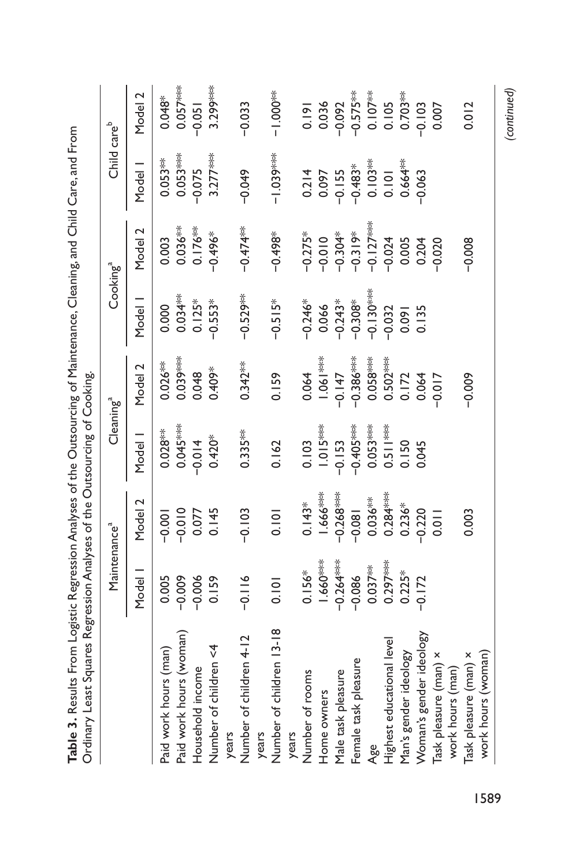| Ordinary Least Squares Regression Analyses of the Outsourcing of Cooking. |                          |                |                  |              |                      |             |                         |                                            |
|---------------------------------------------------------------------------|--------------------------|----------------|------------------|--------------|----------------------|-------------|-------------------------|--------------------------------------------|
|                                                                           | Maintenance <sup>a</sup> |                | $Cl$ eaning $^a$ |              | Cooking <sup>a</sup> |             | Child care <sup>b</sup> |                                            |
|                                                                           | Model I                  | Model 2        | Model I          | Model 2      | Model                | Model 2     | Model                   | Model 2                                    |
| Paid work hours (man)                                                     | 0.005                    | $-0.001$       | $0.028**$        | $0.026**$    | 0.000                | 0.003       | $0.053**$               | 0.048*                                     |
| Paid work hours (woman)                                                   | $-0.009$                 | $-0.010$       | $0.045***$       | 0.03         | $0.034***$           | $0.036***$  | $0.053***$              | $0.057***$                                 |
| Household income                                                          | $-0.006$                 | 0.077          | $-0.014$         | 0.048        | $0.125*$             |             | $-0.075$                | $-0.051$                                   |
| Number of children <4                                                     | 0.159                    | 0.145          | $0.420*$         | 0.409*       | $-0.553*$            | $-0.496*$   | $3.277***$              | $3.299***$                                 |
| years                                                                     |                          |                |                  |              |                      |             |                         |                                            |
| Number of children 4-12                                                   | $-0.116$                 | $-0.103$       | $0.335**$        | $0.342**$    | $-0.529**$           | $-0.474$    | $-0.049$                | $-0.033$                                   |
| years                                                                     |                          |                |                  |              |                      |             |                         |                                            |
| Number of children 13-18                                                  | 0.101                    | 0.101          | 0.162            | 0.159        | $-0.515*$            | $-0.498*$   | $-1.039***$             | *<br>1000.1                                |
| years                                                                     |                          |                |                  |              |                      |             |                         |                                            |
| Number of rooms                                                           | $0.156*$                 | $0.143*$       | 0.103            | 0.064        | $-0.246*$            | $-0.275*$   | 0.214                   | 0.191                                      |
| Home owners                                                               | $1.660***$               | $1.666***$     | $1.015***$       | $1.06$   *** | 0.066                | $-0.010$    | 0.097                   |                                            |
| Male task pleasure                                                        | $-0.264***$              | $-0.268***$    | $-0.153$         | $-0.147$     | $-0.243*$            | $-0.304*$   | $-0.155$                | $-0.092$                                   |
| Female task pleasure                                                      | $-0.086$                 | $-0.081$       | $-0.405***$      | $-0.386***$  | $-0.308*$            | $-0.319*$   | $-0.483*$               |                                            |
| Age                                                                       | $0.037***$               | $0.036**$      | $0.053***$       | $0.058***$   | ***0SI_0-            | $-0.127$ ** | $0.103**$               | $-0.575***$<br>0.107**<br>0.105<br>0.703** |
| Highest educational level                                                 | $0.297***$               | $0.284***$     | $0.511***$       | $0.502***$   | $-0.032$             | $-0.024$    | 0.101                   |                                            |
| Man's gender ideology                                                     | $0.225*$                 | $0.236*$       | 0.150            | 0.172        | 0.091                | 0.005       | 0.664**                 |                                            |
| Woman's gender ideology                                                   | $-0.172$                 | $-0.220$       | 0.045            | 0.064        | 0.135                | 0.204       | $-0.063$                | $-0.103$                                   |
| Task pleasure (man) x                                                     |                          | $\frac{1}{20}$ |                  | $-0.017$     |                      | $-0.020$    |                         | 0.007                                      |
| work hours (man)                                                          |                          |                |                  |              |                      |             |                         |                                            |
| Task pleasure (man) x                                                     |                          | 0.003          |                  | $-0.009$     |                      | $-0.008$    |                         | 0.012                                      |
| work hours (woman)                                                        |                          |                |                  |              |                      |             |                         |                                            |

Table 3. Results From Logistic Regression Analyses of the Outsourcing of Maintenance, Cleaning, and Child Care, and From **Table 3.** Results From Logistic Regression Analyses of the Outsourcing of Maintenance, Cleaning, and Child Care, and From

1589

*(continued)*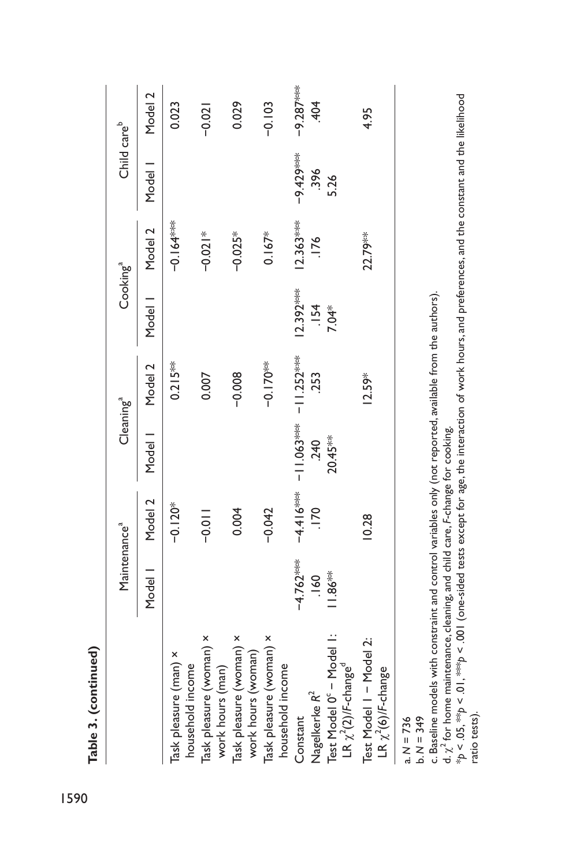|                                                                                   | Maintenance <sup>a</sup> |             | Cleaning <sup>a</sup> |                           | Cooking <sup>a</sup> |             | Child care <sup>b</sup> |             |
|-----------------------------------------------------------------------------------|--------------------------|-------------|-----------------------|---------------------------|----------------------|-------------|-------------------------|-------------|
|                                                                                   | Model I                  | Model 2     | Model                 | Model 2                   | Model I              | Model 2     | Model                   | Model 2     |
| Task pleasure (man) x<br>household income                                         |                          | $-0.120*$   |                       | $0.215**$                 |                      | $-0.164***$ |                         | 0.023       |
| Task pleasure (woman) ×<br>work hours (man)                                       |                          | $-0.01$     |                       | 0.007                     |                      | $-0.021*$   |                         | $-0.021$    |
| Task pleasure (woman) x<br>work hours (woman)                                     |                          | 0.004       |                       | $-0.008$                  |                      | $-0.025*$   |                         | 0.029       |
| Task pleasure (woman) x<br>household income                                       |                          | $-0.042$    |                       | $-0.170**$                |                      | $0.167*$    |                         | $-0.103$    |
| Constant                                                                          | $-4.762***$              | $-4.416***$ |                       | $-11.063***$ $-11.252***$ | $12.392***$          | $12.363***$ | $-9.429***$             | $-9.287***$ |
| Test Model 0° - Model 1:<br>LR $\chi^2(2)/F$ -change<br>Nagelkerke R <sup>2</sup> | $1.86**$<br>.160         | $-170$      | 20.45**<br>.240       | .253                      | $-154$<br>7.04*      | .176        | .396<br>5.26            | 404         |
| Test Model I - Model 2:<br>LR $\chi^2(6)/F$ -change                               |                          | 10.28       |                       | $12.59*$                  |                      | 22.79**     |                         | 4.95        |
| $a. N = 736$                                                                      |                          |             |                       |                           |                      |             |                         |             |

 $b. N = 349$ b. *N* = 349

c. Baseline models with constraint and control variables only (not reported, available from the authors). c. Baseline models with constraint and control variables only (not reported, available from the authors).

d. χ2 for home maintenance, cleaning, and child care, *F*-change for cooking.

\**p* < .05, \*\**p* < .01, \*\*\**p* < .001 (one-sided tests except for age, the interaction of work hours, and preferences, and the constant and the likelihood d.  $\chi^2$  for home maintenance, cleaning, and child care, F-change for cooking.<br>\*p < .05, \*\*p < .01, \*\*\*p < .001 (one-sided tests except for age, the interaction of work hours, and preferences, and the constant and the lik

**Table 3.**

**(continued)**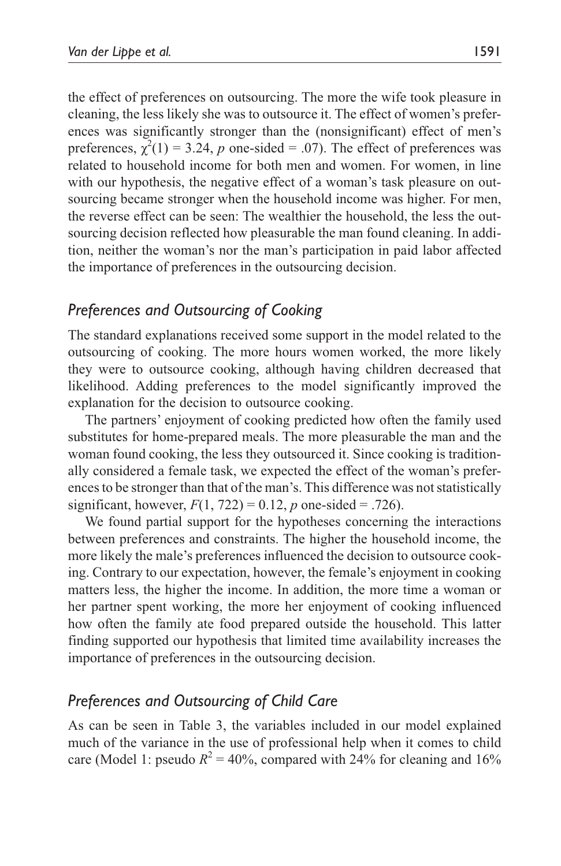the effect of preferences on outsourcing. The more the wife took pleasure in cleaning, the less likely she was to outsource it. The effect of women's preferences was significantly stronger than the (nonsignificant) effect of men's preferences,  $\chi^2(1) = 3.24$ , *p* one-sided = .07). The effect of preferences was related to household income for both men and women. For women, in line with our hypothesis, the negative effect of a woman's task pleasure on outsourcing became stronger when the household income was higher. For men, the reverse effect can be seen: The wealthier the household, the less the outsourcing decision reflected how pleasurable the man found cleaning. In addition, neither the woman's nor the man's participation in paid labor affected the importance of preferences in the outsourcing decision.

## *Preferences and Outsourcing of Cooking*

The standard explanations received some support in the model related to the outsourcing of cooking. The more hours women worked, the more likely they were to outsource cooking, although having children decreased that likelihood. Adding preferences to the model significantly improved the explanation for the decision to outsource cooking.

The partners' enjoyment of cooking predicted how often the family used substitutes for home-prepared meals. The more pleasurable the man and the woman found cooking, the less they outsourced it. Since cooking is traditionally considered a female task, we expected the effect of the woman's preferences to be stronger than that of the man's. This difference was not statistically significant, however,  $F(1, 722) = 0.12$ , *p* one-sided = .726).

We found partial support for the hypotheses concerning the interactions between preferences and constraints. The higher the household income, the more likely the male's preferences influenced the decision to outsource cooking. Contrary to our expectation, however, the female's enjoyment in cooking matters less, the higher the income. In addition, the more time a woman or her partner spent working, the more her enjoyment of cooking influenced how often the family ate food prepared outside the household. This latter finding supported our hypothesis that limited time availability increases the importance of preferences in the outsourcing decision.

## *Preferences and Outsourcing of Child Care*

As can be seen in Table 3, the variables included in our model explained much of the variance in the use of professional help when it comes to child care (Model 1: pseudo  $R^2 = 40\%$ , compared with 24% for cleaning and 16%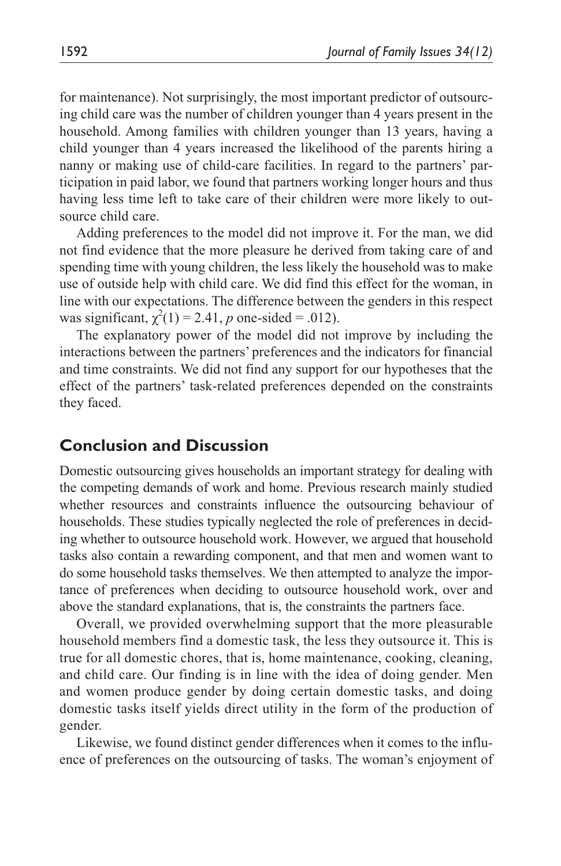for maintenance). Not surprisingly, the most important predictor of outsourcing child care was the number of children younger than 4 years present in the household. Among families with children younger than 13 years, having a child younger than 4 years increased the likelihood of the parents hiring a nanny or making use of child-care facilities. In regard to the partners' participation in paid labor, we found that partners working longer hours and thus having less time left to take care of their children were more likely to outsource child care.

Adding preferences to the model did not improve it. For the man, we did not find evidence that the more pleasure he derived from taking care of and spending time with young children, the less likely the household was to make use of outside help with child care. We did find this effect for the woman, in line with our expectations. The difference between the genders in this respect was significant,  $\chi^2(1) = 2.41$ , *p* one-sided = .012).

The explanatory power of the model did not improve by including the interactions between the partners' preferences and the indicators for financial and time constraints. We did not find any support for our hypotheses that the effect of the partners' task-related preferences depended on the constraints they faced.

## **Conclusion and Discussion**

Domestic outsourcing gives households an important strategy for dealing with the competing demands of work and home. Previous research mainly studied whether resources and constraints influence the outsourcing behaviour of households. These studies typically neglected the role of preferences in deciding whether to outsource household work. However, we argued that household tasks also contain a rewarding component, and that men and women want to do some household tasks themselves. We then attempted to analyze the importance of preferences when deciding to outsource household work, over and above the standard explanations, that is, the constraints the partners face.

Overall, we provided overwhelming support that the more pleasurable household members find a domestic task, the less they outsource it. This is true for all domestic chores, that is, home maintenance, cooking, cleaning, and child care. Our finding is in line with the idea of doing gender. Men and women produce gender by doing certain domestic tasks, and doing domestic tasks itself yields direct utility in the form of the production of gender.

Likewise, we found distinct gender differences when it comes to the influence of preferences on the outsourcing of tasks. The woman's enjoyment of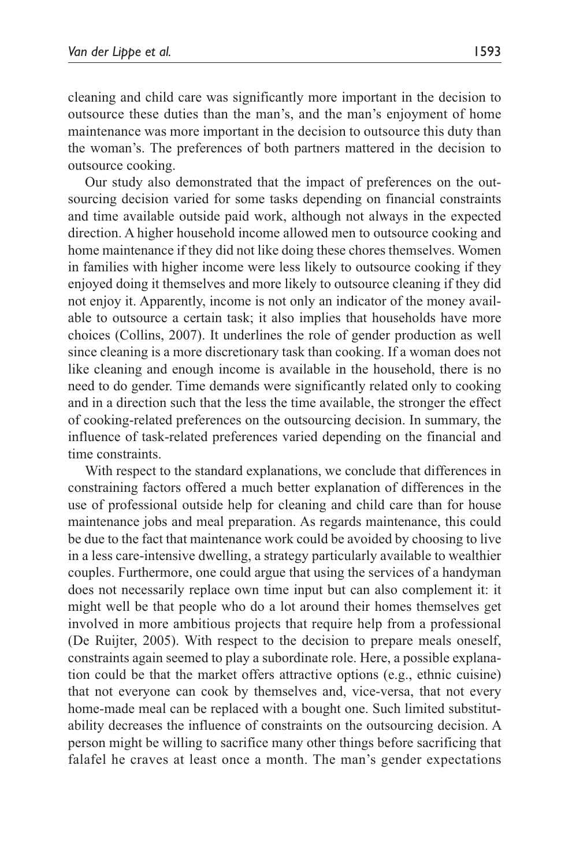cleaning and child care was significantly more important in the decision to outsource these duties than the man's, and the man's enjoyment of home maintenance was more important in the decision to outsource this duty than the woman's. The preferences of both partners mattered in the decision to outsource cooking.

Our study also demonstrated that the impact of preferences on the outsourcing decision varied for some tasks depending on financial constraints and time available outside paid work, although not always in the expected direction. A higher household income allowed men to outsource cooking and home maintenance if they did not like doing these chores themselves. Women in families with higher income were less likely to outsource cooking if they enjoyed doing it themselves and more likely to outsource cleaning if they did not enjoy it. Apparently, income is not only an indicator of the money available to outsource a certain task; it also implies that households have more choices (Collins, 2007). It underlines the role of gender production as well since cleaning is a more discretionary task than cooking. If a woman does not like cleaning and enough income is available in the household, there is no need to do gender. Time demands were significantly related only to cooking and in a direction such that the less the time available, the stronger the effect of cooking-related preferences on the outsourcing decision. In summary, the influence of task-related preferences varied depending on the financial and time constraints.

With respect to the standard explanations, we conclude that differences in constraining factors offered a much better explanation of differences in the use of professional outside help for cleaning and child care than for house maintenance jobs and meal preparation. As regards maintenance, this could be due to the fact that maintenance work could be avoided by choosing to live in a less care-intensive dwelling, a strategy particularly available to wealthier couples. Furthermore, one could argue that using the services of a handyman does not necessarily replace own time input but can also complement it: it might well be that people who do a lot around their homes themselves get involved in more ambitious projects that require help from a professional (De Ruijter, 2005). With respect to the decision to prepare meals oneself, constraints again seemed to play a subordinate role. Here, a possible explanation could be that the market offers attractive options (e.g., ethnic cuisine) that not everyone can cook by themselves and, vice-versa, that not every home-made meal can be replaced with a bought one. Such limited substitutability decreases the influence of constraints on the outsourcing decision. A person might be willing to sacrifice many other things before sacrificing that falafel he craves at least once a month. The man's gender expectations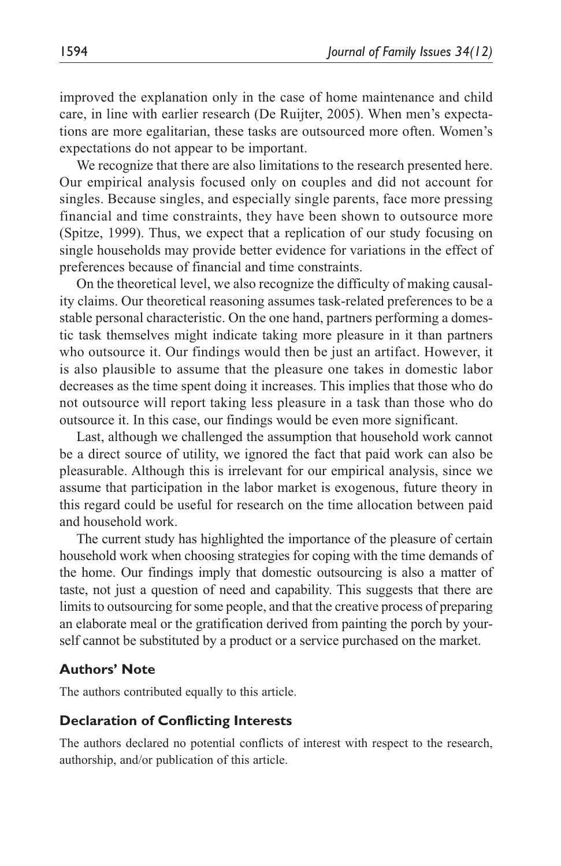improved the explanation only in the case of home maintenance and child care, in line with earlier research (De Ruijter, 2005). When men's expectations are more egalitarian, these tasks are outsourced more often. Women's expectations do not appear to be important.

We recognize that there are also limitations to the research presented here. Our empirical analysis focused only on couples and did not account for singles. Because singles, and especially single parents, face more pressing financial and time constraints, they have been shown to outsource more (Spitze, 1999). Thus, we expect that a replication of our study focusing on single households may provide better evidence for variations in the effect of preferences because of financial and time constraints.

On the theoretical level, we also recognize the difficulty of making causality claims. Our theoretical reasoning assumes task-related preferences to be a stable personal characteristic. On the one hand, partners performing a domestic task themselves might indicate taking more pleasure in it than partners who outsource it. Our findings would then be just an artifact. However, it is also plausible to assume that the pleasure one takes in domestic labor decreases as the time spent doing it increases. This implies that those who do not outsource will report taking less pleasure in a task than those who do outsource it. In this case, our findings would be even more significant.

Last, although we challenged the assumption that household work cannot be a direct source of utility, we ignored the fact that paid work can also be pleasurable. Although this is irrelevant for our empirical analysis, since we assume that participation in the labor market is exogenous, future theory in this regard could be useful for research on the time allocation between paid and household work.

The current study has highlighted the importance of the pleasure of certain household work when choosing strategies for coping with the time demands of the home. Our findings imply that domestic outsourcing is also a matter of taste, not just a question of need and capability. This suggests that there are limits to outsourcing for some people, and that the creative process of preparing an elaborate meal or the gratification derived from painting the porch by yourself cannot be substituted by a product or a service purchased on the market.

#### **Authors' Note**

The authors contributed equally to this article.

#### **Declaration of Conflicting Interests**

The authors declared no potential conflicts of interest with respect to the research, authorship, and/or publication of this article.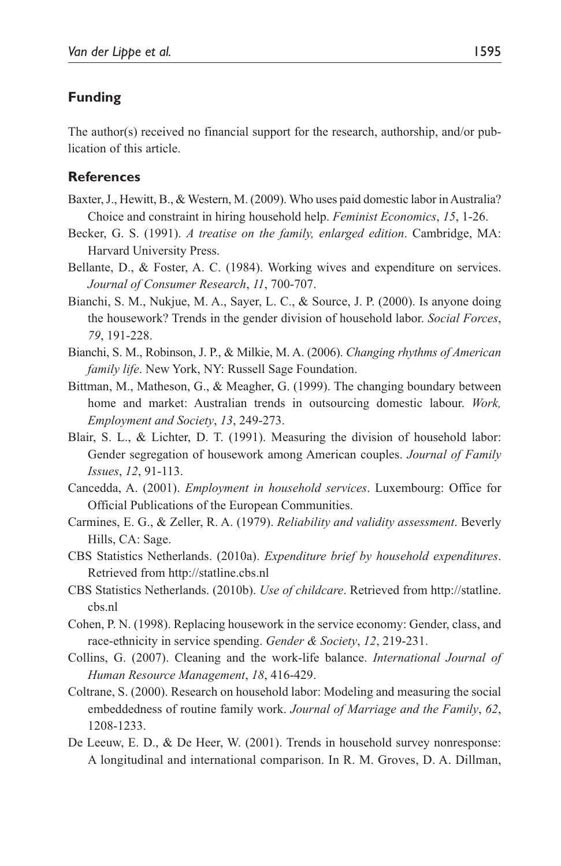#### **Funding**

The author(s) received no financial support for the research, authorship, and/or publication of this article.

#### **References**

- Baxter, J., Hewitt, B., & Western, M. (2009). Who uses paid domestic labor in Australia? Choice and constraint in hiring household help. *Feminist Economics*, *15*, 1-26.
- Becker, G. S. (1991). *A treatise on the family, enlarged edition*. Cambridge, MA: Harvard University Press.
- Bellante, D., & Foster, A. C. (1984). Working wives and expenditure on services. *Journal of Consumer Research*, *11*, 700-707.
- Bianchi, S. M., Nukjue, M. A., Sayer, L. C., & Source, J. P. (2000). Is anyone doing the housework? Trends in the gender division of household labor. *Social Forces*, *79*, 191-228.
- Bianchi, S. M., Robinson, J. P., & Milkie, M. A. (2006). *Changing rhythms of American family life*. New York, NY: Russell Sage Foundation.
- Bittman, M., Matheson, G., & Meagher, G. (1999). The changing boundary between home and market: Australian trends in outsourcing domestic labour. *Work, Employment and Society*, *13*, 249-273.
- Blair, S. L., & Lichter, D. T. (1991). Measuring the division of household labor: Gender segregation of housework among American couples. *Journal of Family Issues*, *12*, 91-113.
- Cancedda, A. (2001). *Employment in household services*. Luxembourg: Office for Official Publications of the European Communities.
- Carmines, E. G., & Zeller, R. A. (1979). *Reliability and validity assessment*. Beverly Hills, CA: Sage.
- CBS Statistics Netherlands. (2010a). *Expenditure brief by household expenditures*. Retrieved from http://statline.cbs.nl
- CB[S Statistics Netherlands. \(2010b\).](http://statline.cbs.nl) *Use of childcare*. Retrieved from http://statline. cbs.nl
- Cohen, P. N. (1998). Replacing housework in the service economy: Gender, class, and race-ethnicity in service spending. *Gender & Society*, *12*, 219-231.
- Collins, G. (2007). Cleaning and the work-life balance. *International Journal of Human Resource Management*, *18*, 416-429.
- Coltrane, S. (2000). Research on household labor: Modeling and measuring the social embeddedness of routine family work. *Journal of Marriage and the Family*, *62*, 1208-1233.
- De Leeuw, E. D., & De Heer, W. (2001). Trends in household survey nonresponse: A longitudinal and international comparison. In R. M. Groves, D. A. Dillman,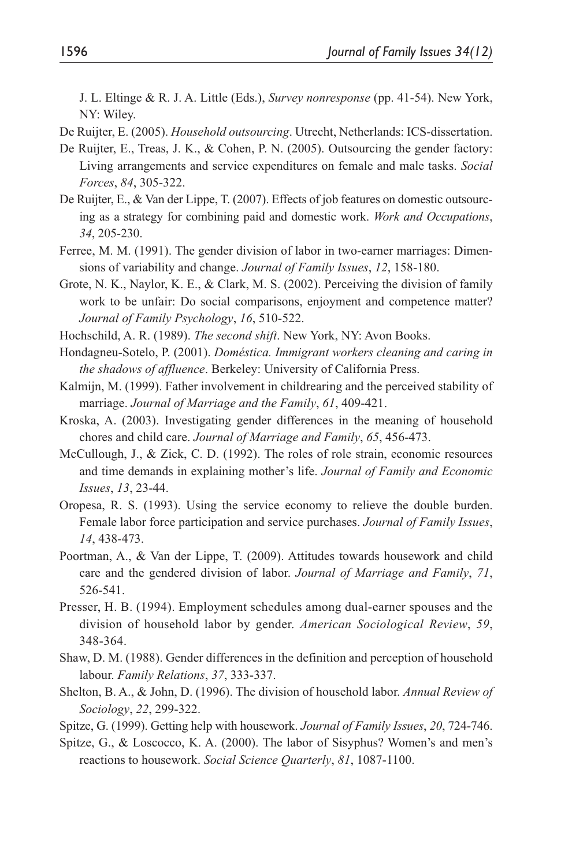J. L. Eltinge & R. J. A. Little (Eds.), *Survey nonresponse* (pp. 41-54). New York, NY: Wiley.

De Ruijter, E. (2005). *Household outsourcing*. Utrecht, Netherlands: ICS-dissertation.

- De Ruijter, E., Treas, J. K., & Cohen, P. N. (2005). Outsourcing the gender factory: Living arrangements and service expenditures on female and male tasks. *Social Forces*, *84*, 305-322.
- De Ruijter, E., & Van der Lippe, T. (2007). Effects of job features on domestic outsourcing as a strategy for combining paid and domestic work. *Work and Occupations*, *34*, 205-230.
- Ferree, M. M. (1991). The gender division of labor in two-earner marriages: Dimensions of variability and change. *Journal of Family Issues*, *12*, 158-180.
- Grote, N. K., Naylor, K. E., & Clark, M. S. (2002). Perceiving the division of family work to be unfair: Do social comparisons, enjoyment and competence matter? *Journal of Family Psychology*, *16*, 510-522.
- Hochschild, A. R. (1989). *The second shift*. New York, NY: Avon Books.
- Hondagneu-Sotelo, P. (2001). *Doméstica. Immigrant workers cleaning and caring in the shadows of affluence*. Berkeley: University of California Press.
- Kalmijn, M. (1999). Father involvement in childrearing and the perceived stability of marriage. *Journal of Marriage and the Family*, *61*, 409-421.
- Kroska, A. (2003). Investigating gender differences in the meaning of household chores and child care. *Journal of Marriage and Family*, *65*, 456-473.
- McCullough, J., & Zick, C. D. (1992). The roles of role strain, economic resources and time demands in explaining mother's life. *Journal of Family and Economic Issues*, *13*, 23-44.
- Oropesa, R. S. (1993). Using the service economy to relieve the double burden. Female labor force participation and service purchases. *Journal of Family Issues*, *14*, 438-473.
- Poortman, A., & Van der Lippe, T. (2009). Attitudes towards housework and child care and the gendered division of labor. *Journal of Marriage and Family*, *71*, 526-541.
- Presser, H. B. (1994). Employment schedules among dual-earner spouses and the division of household labor by gender. *American Sociological Review*, *59*, 348-364.
- Shaw, D. M. (1988). Gender differences in the definition and perception of household labour. *Family Relations*, *37*, 333-337.
- Shelton, B. A., & John, D. (1996). The division of household labor. *Annual Review of Sociology*, *22*, 299-322.
- Spitze, G. (1999). Getting help with housework. *Journal of Family Issues*, *20*, 724-746.
- Spitze, G., & Loscocco, K. A. (2000). The labor of Sisyphus? Women's and men's reactions to housework. *Social Science Quarterly*, *81*, 1087-1100.